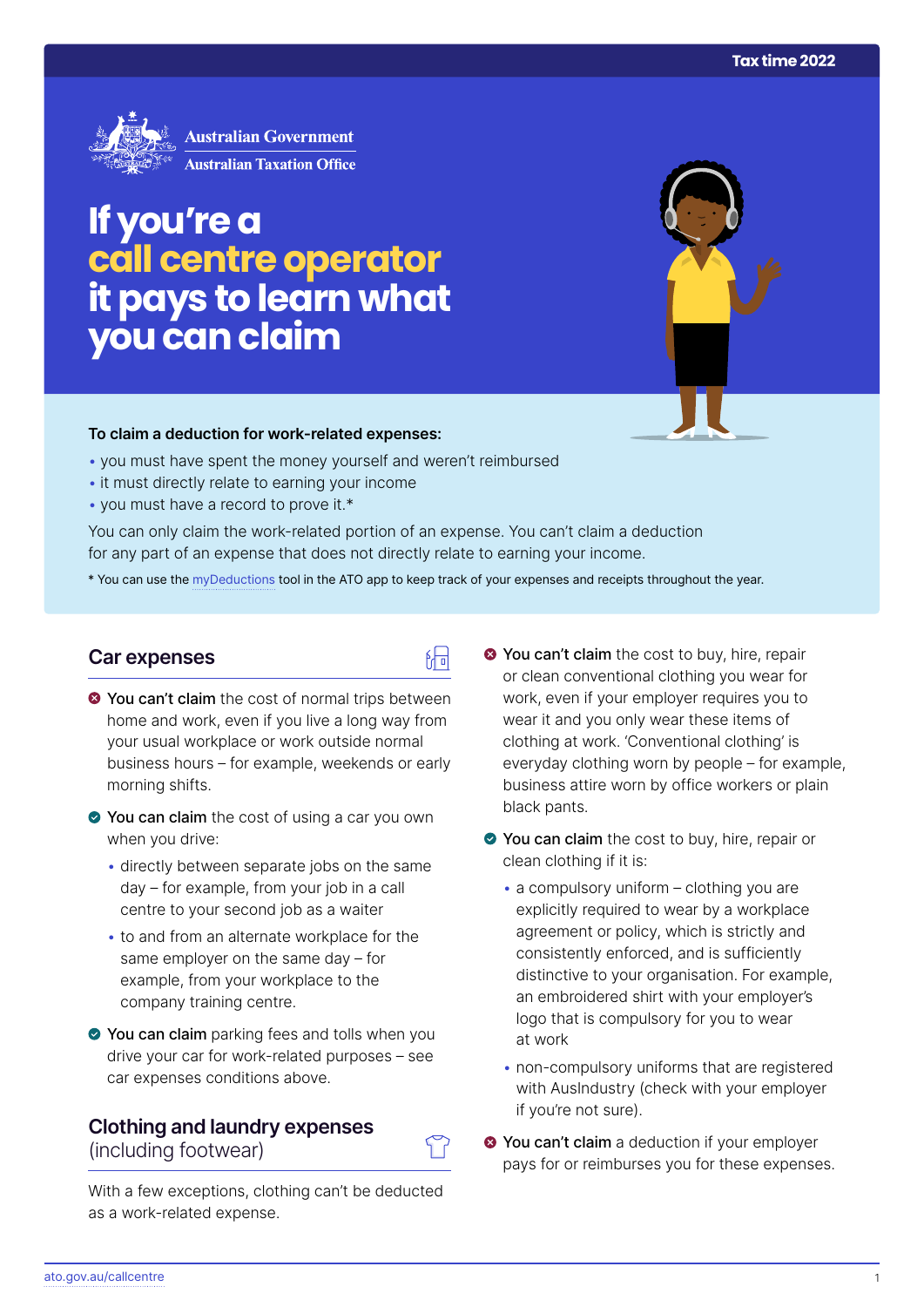

# **If you're a call centre operator it pays to learn what you can claim**

### **To claim a deduction for work‑related expenses:**

- you must have spent the money yourself and weren't reimbursed
- it must directly relate to earning your income
- you must have a record to prove it.\*

You can only claim the work-related portion of an expense. You can't claim a deduction for any part of an expense that does not directly relate to earning your income.

\* You can use the [myDeductions](https://ato.gov.au/mydeductions) tool in the ATO app to keep track of your expenses and receipts throughout the year.

## **Car expenses**

- $\bullet$  You can't claim the cost of normal trips between home and work, even if you live a long way from your usual workplace or work outside normal business hours – for example, weekends or early morning shifts.
- ◆ You can claim the cost of using a car you own when you drive:
	- directly between separate jobs on the same day – for example, from your job in a call centre to your second job as a waiter
	- to and from an alternate workplace for the same employer on the same day – for example, from your workplace to the company training centre.
- You can claim parking fees and tolls when you drive your car for work-related purposes – see car expenses conditions above.

## **Clothing and laundry expenses**  (including footwear)

With a few exceptions, clothing can't be deducted as a work-related expense.

- **◆ You can't claim** the cost to buy, hire, repair or clean conventional clothing you wear for work, even if your employer requires you to wear it and you only wear these items of clothing at work. 'Conventional clothing' is everyday clothing worn by people – for example, business attire worn by office workers or plain black pants.
- You can claim the cost to buy, hire, repair or clean clothing if it is:
	- $\bullet$  a compulsory uniform clothing you are explicitly required to wear by a workplace agreement or policy, which is strictly and consistently enforced, and is sufficiently distinctive to your organisation. For example, an embroidered shirt with your employer's logo that is compulsory for you to wear at work
	- non-compulsory uniforms that are registered with AusIndustry (check with your employer if you're not sure).
- $\bullet$  You can't claim a deduction if your employer pays for or reimburses you for these expenses.